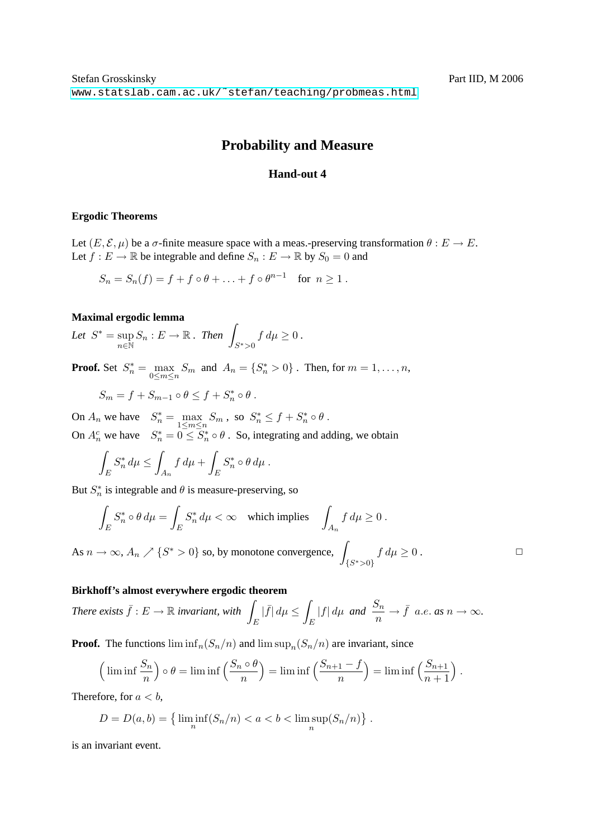# **Probability and Measure**

### **Hand-out 4**

#### **Ergodic Theorems**

Let  $(E, \mathcal{E}, \mu)$  be a  $\sigma$ -finite measure space with a meas.-preserving transformation  $\theta : E \to E$ . Let  $f : E \to \mathbb{R}$  be integrable and define  $S_n : E \to \mathbb{R}$  by  $S_0 = 0$  and

$$
S_n = S_n(f) = f + f \circ \theta + \ldots + f \circ \theta^{n-1} \quad \text{for } n \ge 1.
$$

#### **Maximal ergodic lemma**

Let  $S^* = \sup$  $\sup_{n\in\mathbb{N}} S_n : E \to \mathbb{R}$ . Then  $\int$  $S^*$ >0  $f d\mu \geq 0$ .

**Proof.** Set  $S_n^* = \max_{0 \le m \le n} S_m$  and  $A_n = \{S_n^* > 0\}$ . Then, for  $m = 1, \ldots, n$ ,

$$
S_m = f + S_{m-1} \circ \theta \leq f + S_n^* \circ \theta.
$$

On  $A_n$  we have  $S_n^* = \max_{1 \le m \le n} S_m$ , so  $S_n^* \le f + S_n^* \circ \theta$ . On  $A_n^c$  we have  $S_n^* = 0 \leq S_n^* \circ \theta$ . So, integrating and adding, we obtain

$$
\int_E S_n^* d\mu \le \int_{A_n} f d\mu + \int_E S_n^* \circ \theta d\mu.
$$

But  $S_n^*$  is integrable and  $\theta$  is measure-preserving, so

$$
\int_{E} S_n^* \circ \theta \, d\mu = \int_{E} S_n^* \, d\mu < \infty \quad \text{which implies} \quad \int_{A_n} f \, d\mu \ge 0 \, .
$$

As  $n \to \infty$ ,  $A_n \nearrow \{S^* > 0\}$  so, by monotone convergence,  $\{S^*\gt;0\}$  $f d\mu \geq 0$ .

#### **Birkhoff's almost everywhere ergodic theorem**

*There exists*  $\bar{f}: E \to \mathbb{R}$  *invariant, with* E  $|\bar{f}| d\mu \leq$ E  $|f| d\mu$  *and*  $\frac{S_n}{n} \to \bar{f}$  *a.e. as*  $n \to \infty$ *.* 

**Proof.** The functions  $\liminf_n (S_n/n)$  and  $\limsup_n (S_n/n)$  are invariant, since

$$
\left(\liminf \frac{S_n}{n}\right) \circ \theta = \liminf \left(\frac{S_n \circ \theta}{n}\right) = \liminf \left(\frac{S_{n+1} - f}{n}\right) = \liminf \left(\frac{S_{n+1}}{n+1}\right).
$$

Therefore, for  $a < b$ ,

$$
D = D(a, b) = \left\{ \liminf_{n} (S_n/n) < a < b < \limsup_{n} (S_n/n) \right\}.
$$

is an invariant event.